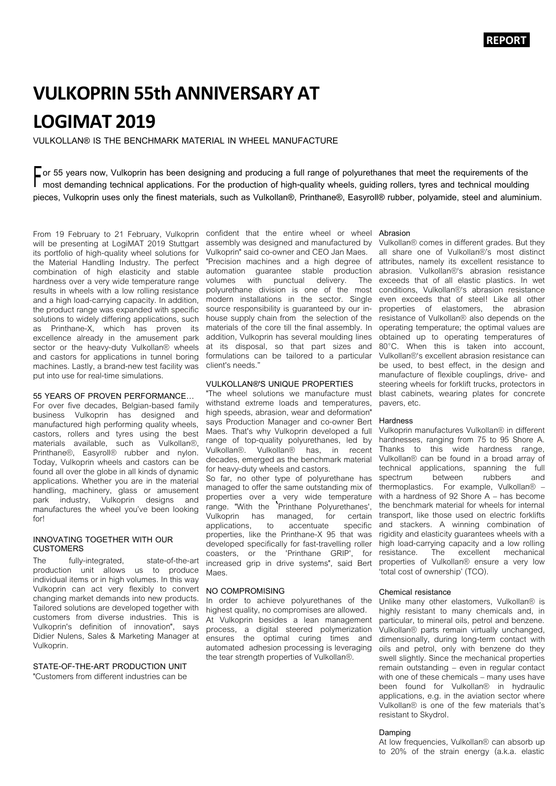# **VULKOPRIN 55th ANNIVERSARY AT LOGIMAT 2019**

**VULKOLLAN® IS THE BENCHMARK MATERIAL IN WHEEL MANUFACTURE**

■ **F** or 55 years now, Vulkoprin has been designing and producing a full range of polyurethanes that meet the requirements of the<br>■ most demanding technical applications. For the production of high-quality wheels, guiding **most demanding technical applications. For the production of high-quality wheels, guiding rollers, tyres and technical moulding pieces, Vulkoprin uses only the finest materials, such as Vulkollan®, Printhane®, Easyroll® rubber, polyamide, steel and aluminium.**

From 19 February to 21 February, Vulkoprin will be presenting at LogiMAT 2019 Stuttgart its portfolio of high-quality wheel solutions for the Material Handling Industry. The perfect combination of high elasticity and stable hardness over a very wide temperature range results in wheels with a low rolling resistance and a high load-carrying capacity. In addition, the product range was expanded with specific solutions to widely differing applications, such as Printhane-X, which has proven its excellence already in the amusement park sector or the heavy-duty Vulkollan® wheels and castors for applications in tunnel boring machines. Lastly, a brand-new test facility was put into use for real-time simulations.

# **55 YEARS OF PROVEN PERFORMANCE…**

For over five decades, Belgian-based family business Vulkoprin has designed and manufactured high performing quality wheels, castors, rollers and tyres using the best materials available, such as Vulkollan®, Printhane®, Easyroll® rubber and nylon. Today, Vulkoprin wheels and castors can be found all over the globe in all kinds of dynamic applications. Whether you are in the material handling, machinery, glass or amusement park industry, Vulkoprin designs and manufactures the wheel you've been looking forl

## **INNOVATING TOGETHER WITH OUR CUSTOMERS**

The fully-integrated, state-of-the-art production unit allows us to produce individual items or in high volumes. In this way Vulkoprin can act very flexibly to convert changing market demands into new products. Tailored solutions are developed together with customers from diverse industries. This is Vulkoprin's definition of innovation", says Didier Nulens, Sales & Marketing Manager at Vulkoprin.

# **STATE-OF-THE-ART PRODUCTION UNIT**

"Customers from different industries can be

confident that the entire wheel or wheel **Abrasion** assembly was designed and manufactured by Vulkoprin" said co-owner and CEO Jan Maes. "Precision machines and a high degree of automation guarantee stable production volumes with punctual delivery. polyurethane division is one of the most modern installations in the sector. Single source responsibility is guaranteed by our inhouse supply chain from the selection of the materials of the core till the final assembly. In addition, Vulkoprin has several moulding lines at its disposal, so that part sizes and formulations can be tailored to a particular client's needs."

# **VULKOLLAN®'S UNIQUE PROPERTIES**

"The wheel solutions we manufacture must withstand extreme loads and temperatures, high speeds, abrasion, wear and deformation" says Production Manager and co-owner Bert Maes. That's why Vulkoprin developed a full range of top-quality polyurethanes, led by Vulkollan®. Vulkollan® has, in recent decades, emerged as the benchmark material for heavy-duty wheels and castors.

So far, no other type of polyurethane has managed to offer the same outstanding mix of properties over a very wide temperature range. "With the 'Printhane Polyurethanes', Vulkoprin has managed, for certain<br>applications, to accentuate specific applications, properties, like the Printhane-X 95 that was developed specifically for fast-travelling roller coasters, or the 'Printhane GRIP', for increased grip in drive systems", said Bert Maes.

# **NO COMPROMISING**

In order to achieve polyurethanes of the highest quality, no compromises are allowed. At Vulkoprin besides a lean management process, a digital steered polymerization ensures the optimal curing times and automated adhesion processing is leveraging the tear strength properties of Vulkollan®.

Vulkollan® comes in different grades. But they all share one of Vulkollan®'s most distinct attributes, namely its excellent resistance to abrasion. Vulkollan®'s abrasion resistance exceeds that of all elastic plastics. In wet conditions, Vulkollan®'s abrasion resistance even exceeds that of steel! Like all other properties of elastomers, the abrasion resistance of Vulkollan® also depends on the operating temperature; the optimal values are obtained up to operating temperatures of 80°C. When this is taken into account, Vulkollan®'s excellent abrasion resistance can be used, to best effect, in the design and manufacture of flexible couplings, drive- and steering wheels for forklift trucks, protectors in blast cabinets, wearing plates for concrete pavers, etc.

### **Hardness**

Vulkoprin manufactures Vulkollan® in different hardnesses, ranging from 75 to 95 Shore A. Thanks to this wide hardness range. Vulkollan® can be found in a broad array of technical applications, spanning the full<br>spectrum between rubbers and spectrum thermoplastics. For example, Vulkollan® – with a hardness of 92 Shore A – has become the benchmark material for wheels for internal transport, like those used on electric forklifts and stackers. A winning combination of rigidity and elasticity guarantees wheels with a high load-carrying capacity and a low rolling<br>resistance. The excellent mechanical The excellent mechanical properties of Vulkollan® ensure a very low 'total cost of ownership' (TCO).

#### **Chemical resistance**

Unlike many other elastomers, Vulkollan® is highly resistant to many chemicals and, in particular, to mineral oils, petrol and benzene. Vulkollan® parts remain virtually unchanged, dimensionally, during long-term contact with oils and petrol, only with benzene do they swell slightly. Since the mechanical properties remain outstanding – even in regular contact with one of these chemicals – many uses have been found for Vulkollan® in hydraulic applications, e.g. in the aviation sector where Vulkollan® is one of the few materials that's resistant to Skydrol.

#### **Damping**

At low frequencies, Vulkollan® can absorb up to 20% of the strain energy (a.k.a. elastic